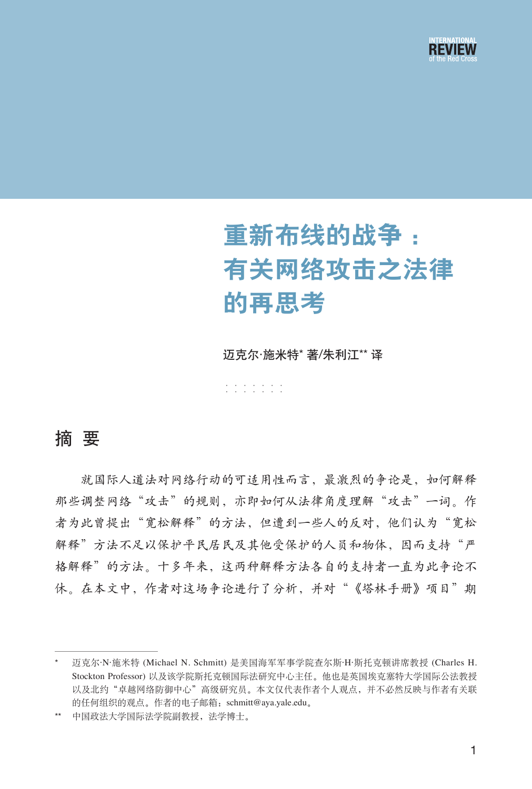

# 重新布线的战争 : 有关网络攻击之法律 的再思考

迈克尔·施米特\* 著/朱利江\*\* 译

······· ·······

## 摘 要

就国际人道法对网络行动的可适用性而言,最激烈的争论是,如何解释 那些调整网络"攻击"的规则,亦即如何从法律角度理解"攻击"一词。作 者为此曾提出"宽松解释"的方法,但遭到一些人的反对,他们认为"宽松 解释"方法不足以保护平民居民及其他受保护的人员和物体,因而支持"严 格解释"的方法。十多年来,这两种解释方法各自的支持者一直为此争论不 休。在本文中,作者对这场争论进行了分析,并对"《塔林手册》项目"期

<sup>\*</sup> 迈克尔·N·施米特 (Michael N. Schmitt) 是美国海军军事学院查尔斯·H·斯托克顿讲席教授 (Charles H. Stockton Professor) 以及该学院斯托克顿国际法研究中心主任。他也是英国埃克塞特大学国际公法教授 以及北约"卓越网络防御中心"高级研究员。本文仅代表作者个人观点,并不必然反映与作者有关联 的任何组织的观点。作者的电子邮箱:schmitt@aya.yale.edu。

<sup>\*\*</sup> 中国政法大学国际法学院副教授,法学博士。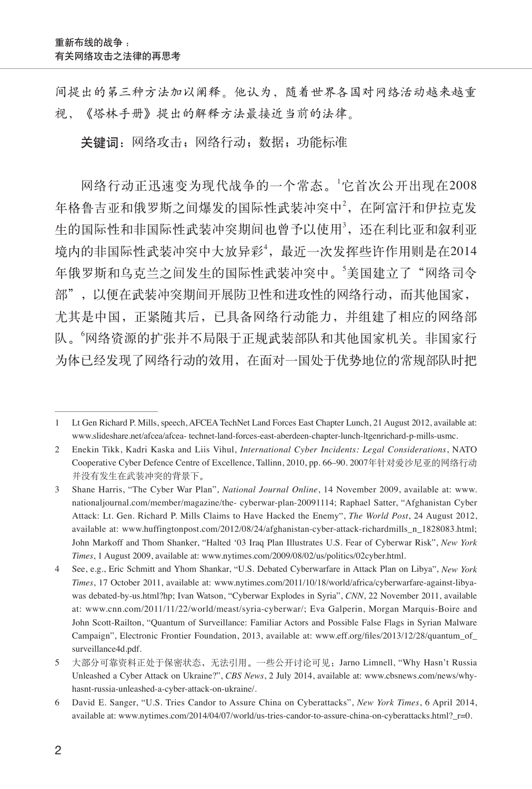间提出的第三种方法加以阐释。他认为,随着世界各国对网络活动越来越重 视,《塔林手册》提出的解释方法最接近当前的法律。

关键词: 网络攻击; 网络行动; 数据; 功能标准

网络行动正迅速变为现代战争的一个常态。<sup>1</sup> 它首次公开出现在2008 年格鲁吉亚和俄罗斯之间爆发的国际性武装冲突中2, 在阿富汗和伊拉克发 生的国际性和非国际性武装冲突期间也曾予以使用3, 还在利比亚和叙利亚 境内的非国际性武装冲突中大放异彩4, 最近一次发挥些许作用则是在2014 年俄罗斯和乌克兰之间发生的国际性武装冲突中。'美国建立了"网络司令 部",以便在武装冲突期间开展防卫性和进攻性的网络行动,而其他国家, 尤其是中国,正紧随其后,已具备网络行动能力,并组建了相应的网络部 队。"网络资源的扩张并不局限于正规武装部队和其他国家机关。非国家行 为体已经发现了网络行动的效用,在面对一国处于优势地位的常规部队时把

<sup>1</sup> Lt Gen Richard P. Mills, speech, AFCEA TechNet Land Forces East Chapter Lunch, 21 August 2012, available at: www.slideshare.net/afcea/afcea- technet-land-forces-east-aberdeen-chapter-lunch-ltgenrichard-p-mills-usmc.

<sup>2</sup> Enekin Tikk, Kadri Kaska and Liis Vihul, *International Cyber Incidents: Legal Considerations*, NATO Cooperative Cyber Defence Centre of Excellence, Tallinn, 2010, pp. 66–90. 2007年针对爱沙尼亚的网络行动 并没有发生在武装冲突的背景下。

<sup>3</sup> Shane Harris, "The Cyber War Plan", *National Journal Online*, 14 November 2009, available at: www. nationaljournal.com/member/magazine/the- cyberwar-plan-20091114; Raphael Satter, "Afghanistan Cyber Attack: Lt. Gen. Richard P. Mills Claims to Have Hacked the Enemy", *The World Post*, 24 August 2012, available at: www.huffingtonpost.com/2012/08/24/afghanistan-cyber-attack-richardmills\_n\_1828083.html; John Markoff and Thom Shanker, "Halted '03 Iraq Plan Illustrates U.S. Fear of Cyberwar Risk", *New York Times*, 1 August 2009, available at: www.nytimes.com/2009/08/02/us/politics/02cyber.html.

<sup>4</sup> See, e.g., Eric Schmitt and Yhom Shankar, "U.S. Debated Cyberwarfare in Attack Plan on Libya", *New York Times*, 17 October 2011, available at: www.nytimes.com/2011/10/18/world/africa/cyberwarfare-against-libyawas debated-by-us.html?hp; Ivan Watson, "Cyberwar Explodes in Syria", *CNN*, 22 November 2011, available at: www.cnn.com/2011/11/22/world/meast/syria-cyberwar/; Eva Galperin, Morgan Marquis-Boire and John Scott-Railton, "Quantum of Surveillance: Familiar Actors and Possible False Flags in Syrian Malware Campaign", Electronic Frontier Foundation, 2013, available at: www.eff.org/files/2013/12/28/quantum\_of\_ surveillance4d.pdf.

<sup>5</sup> 大部分可靠资料正处于保密状态,无法引用。一些公开讨论可见: Jarno Limnell, "Why Hasn't Russia Unleashed a Cyber Attack on Ukraine?", *CBS News*, 2 July 2014, available at: www.cbsnews.com/news/whyhasnt-russia-unleashed-a-cyber-attack-on-ukraine/.

<sup>6</sup> David E. Sanger, "U.S. Tries Candor to Assure China on Cyberattacks", *New York Times*, 6 April 2014, available at: www.nytimes.com/2014/04/07/world/us-tries-candor-to-assure-china-on-cyberattacks.html? r=0.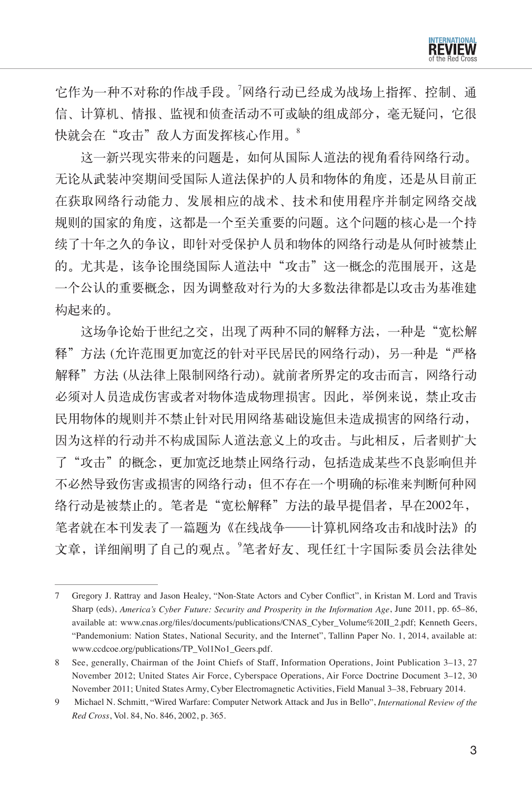

它作为一种不对称的作战手段。<sup>7</sup> 网络行动已经成为战场上指挥、控制、通 信、计算机、情报、监视和侦查活动不可或缺的组成部分,毫无疑问,它很 快就会在"攻击"敌人方面发挥核心作用。8

这一新兴现实带来的问题是,如何从国际人道法的视角看待网络行动。 无论从武装冲突期间受国际人道法保护的人员和物体的角度,还是从目前正 在获取网络行动能力、发展相应的战术、技术和使用程序并制定网络交战 规则的国家的角度,这都是一个至关重要的问题。这个问题的核心是一个持 续了十年之久的争议,即针对受保护人员和物体的网络行动是从何时被禁止 的。尤其是,该争论围绕国际人道法中"攻击"这一概念的范围展开,这是 一个公认的重要概念,因为调整敌对行为的大多数法律都是以攻击为基准建 构起来的。

这场争论始于世纪之交,出现了两种不同的解释方法,一种是"宽松解 释"方法 (允许范围更加宽泛的针对平民居民的网络行动), 另一种是"严格 解释"方法 (从法律上限制网络行动)。就前者所界定的攻击而言, 网络行动 必须对人员造成伤害或者对物体造成物理损害。因此,举例来说,禁止攻击 民用物体的规则并不禁止针对民用网络基础设施但未造成损害的网络行动, 因为这样的行动并不构成国际人道法意义上的攻击。与此相反,后者则扩大 了"攻击"的概念,更加宽泛地禁止网络行动,包括造成某些不良影响但并 不必然导致伤害或损害的网络行动;但不存在一个明确的标准来判断何种网 络行动是被禁止的。笔者是"宽松解释"方法的最早提倡者,早在2002年, 笔者就在本刊发表了一篇题为《在线战争——计算机网络攻击和战时法》的 文章,详细阐明了自己的观点。<sup>9</sup>笔者好友、现任红十字国际委员会法律处

<sup>7</sup> Gregory J. Rattray and Jason Healey, "Non-State Actors and Cyber Conflict", in Kristan M. Lord and Travis Sharp (eds), *America's Cyber Future: Security and Prosperity in the Information Age*, June 2011, pp. 65–86, available at: www.cnas.org/files/documents/publications/CNAS\_Cyber\_Volume%20II\_2.pdf; Kenneth Geers, "Pandemonium: Nation States, National Security, and the Internet", Tallinn Paper No. 1, 2014, available at: www.ccdcoe.org/publications/TP\_Vol1No1\_Geers.pdf.

<sup>8</sup> See, generally, Chairman of the Joint Chiefs of Staff, Information Operations, Joint Publication 3–13, 27 November 2012; United States Air Force, Cyberspace Operations, Air Force Doctrine Document 3–12, 30 November 2011; United States Army, Cyber Electromagnetic Activities, Field Manual 3–38, February 2014.

<sup>9</sup> Michael N. Schmitt, "Wired Warfare: Computer Network Attack and Jus in Bello", *International Review of the Red Cross*, Vol. 84, No. 846, 2002, p. 365.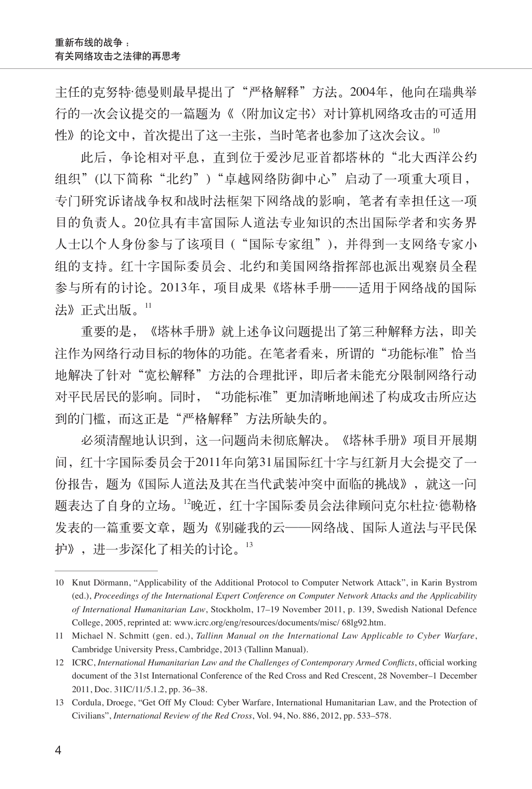主任的克努特·德曼则最早提出了"严格解释"方法。2004年, 他向在瑞典举 行的一次会议提交的一篇题为《〈附加议定书〉对计算机网络攻击的可适用 性》的论文中,首次提出了这一主张,当时笔者也参加了这次会议。<sup>10</sup>

此后, 争论相对平息, 直到位于爱沙尼亚首都塔林的"北大西洋公约 组织"(以下简称"北约")"卓越网络防御中心"启动了一项重大项目, 专门研究诉诸战争权和战时法框架下网络战的影响,笔者有幸担任这一项 目的负责人。20位具有丰富国际人道法专业知识的杰出国际学者和实务界 人士以个人身份参与了该项目 ("国际专家组"),并得到一支网络专家小 组的支持。红十字国际委员会、北约和美国网络指挥部也派出观察员全程 参与所有的讨论。2013年,项目成果《塔林手册——适用于网络战的国际 法》正式出版。11

重要的是,《塔林手册》就上述争议问题提出了第三种解释方法,即关 注作为网络行动目标的物体的功能。在笔者看来,所谓的"功能标准"恰当 地解决了针对"宽松解释"方法的合理批评,即后者未能充分限制网络行动 对平民居民的影响。同时, "功能标准"更加清晰地阐述了构成攻击所应达 到的门槛,而这正是"严格解释"方法所缺失的。

必须清醒地认识到,这一问题尚未彻底解决。《塔林手册》项目开展期 间,红十字国际委员会于2011年向第31届国际红十字与红新月大会提交了一 份报告, 题为《国际人道法及其在当代武装冲突中面临的挑战》, 就这一问 题表达了自身的立场。<sup>12</sup>晚近,红十字国际委员会法律顾问克尔杜拉·德勒格 发表的一篇重要文章,题为《别碰我的云——网络战、国际人道法与平民保 护》,进一步深化了相关的讨论。<sup>13</sup>

<sup>10</sup> Knut Dörmann, "Applicability of the Additional Protocol to Computer Network Attack", in Karin Bystrom (ed.), *Proceedings of the International Expert Conference on Computer Network Attacks and the Applicability of International Humanitarian Law*, Stockholm, 17–19 November 2011, p. 139, Swedish National Defence College, 2005, reprinted at: www.icrc.org/eng/resources/documents/misc/ 68lg92.htm.

<sup>11</sup> Michael N. Schmitt (gen. ed.), *Tallinn Manual on the International Law Applicable to Cyber Warfare*, Cambridge University Press, Cambridge, 2013 (Tallinn Manual).

<sup>12</sup> ICRC, *International Humanitarian Law and the Challenges of Contemporary Armed Conflicts*, official working document of the 31st International Conference of the Red Cross and Red Crescent, 28 November–1 December 2011, Doc. 31IC/11/5.1.2, pp. 36–38.

<sup>13</sup> Cordula, Droege, "Get Off My Cloud: Cyber Warfare, International Humanitarian Law, and the Protection of Civilians", *International Review of the Red Cross*, Vol. 94, No. 886, 2012, pp. 533–578.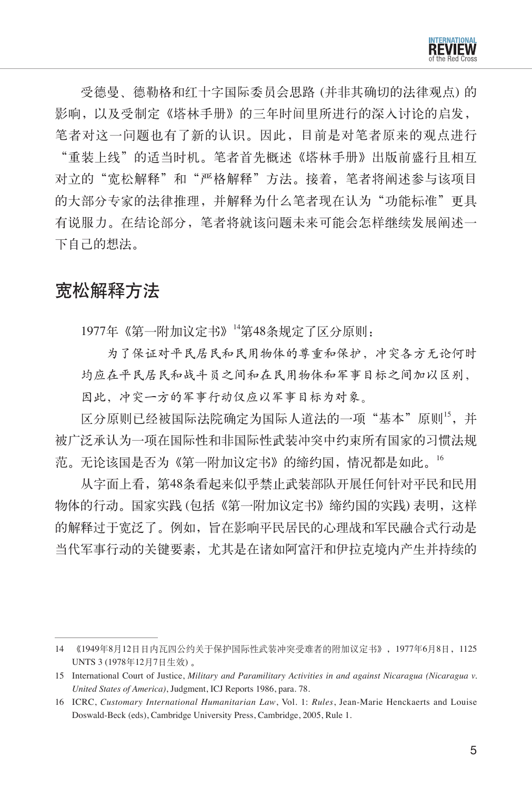受德曼、德勒格和红十字国际委员会思路 (并非其确切的法律观点) 的 影响,以及受制定《塔林手册》的三年时间里所进行的深入讨论的启发, 笔者对这一问题也有了新的认识。因此,目前是对笔者原来的观点进行 "重装上线"的适当时机。笔者首先概述《塔林手册》出版前盛行且相互 对立的"宽松解释"和"严格解释"方法。接着,笔者将阐述参与该项目 的大部分专家的法律推理,并解释为什么笔者现在认为"功能标准"更具 有说服力。在结论部分,笔者将就该问题未来可能会怎样继续发展阐述一 下自己的想法。

## 宽松解释方法

1977年《第一附加议定书》<sup>14</sup>第48条规定了区分原则:

为了保证对平民居民和民用物体的尊重和保护,冲突各方无论何时 均应在平民居民和战斗员之间和在民用物体和军事目标之间加以区别, 因此,冲突一方的军事行动仅应以军事目标为对象。

区分原则已经被国际法院确定为国际人道法的一项"基本"原则15,并 被广泛承认为一项在国际性和非国际性武装冲突中约束所有国家的习惯法规 范。无论该国是否为《第一附加议定书》的缔约国,情况都是如此。<sup>16</sup>

从字面上看,第48条看起来似乎禁止武装部队开展任何针对平民和民用 物体的行动。国家实践 (包括《第一附加议定书》缔约国的实践) 表明,这样 的解释过于宽泛了。例如,旨在影响平民居民的心理战和军民融合式行动是 当代军事行动的关键要素,尤其是在诸如阿富汗和伊拉克境内产生并持续的

<sup>14</sup> 《1949年8月12日日内瓦四公约关于保护国际性武装冲突受难者的附加议定书》,1977年6月8日,1125 UNTS 3 (1978年12月7日生效) 。

<sup>15</sup> International Court of Justice, *Military and Paramilitary Activities in and against Nicaragua (Nicaragua v. United States of America)*, Judgment, ICJ Reports 1986, para. 78.

<sup>16</sup> ICRC, *Customary International Humanitarian Law*, Vol. 1: *Rules*, Jean-Marie Henckaerts and Louise Doswald-Beck (eds), Cambridge University Press, Cambridge, 2005, Rule 1.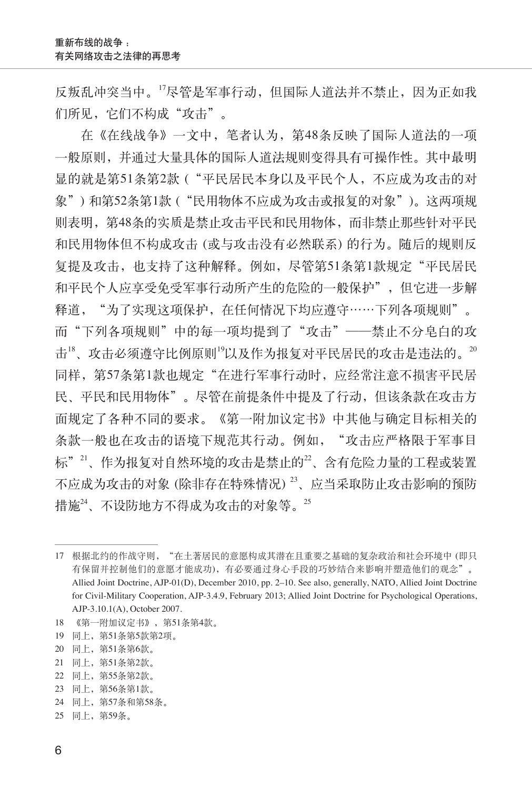反叛乱冲突当中。<sup>17</sup>尽管是军事行动,但国际人道法并不禁止,因为正如我 们所见,它们不构成"攻击"。

在《在线战争》一文中,笔者认为,第48条反映了国际人道法的一项 一般原则,并通过大量具体的国际人道法规则变得具有可操作性。其中最明 显的就是第51条第2款 ("平民居民本身以及平民个人,不应成为攻击的对 象") 和第52条第1款 ("民用物体不应成为攻击或报复的对象")。这两项规 则表明,第48条的实质是禁止攻击平民和民用物体,而非禁止那些针对平民 和民用物体但不构成攻击 (或与攻击没有必然联系) 的行为。随后的规则反 复提及攻击,也支持了这种解释。例如,尽管第51条第1款规定"平民居民 和平民个人应享受免受军事行动所产生的危险的一般保护",但它进一步解 释道,"为了实现这项保护,在任何情况下均应遵守……下列各项规则"。 而"下列各项规则"中的每一项均提到了"攻击"——禁止不分皂白的攻 击<sup>18</sup>、攻击必须遵守比例原则<sup>19</sup>以及作为报复对平民居民的攻击是违法的。<sup>20</sup> 同样, 第57条第1款也规定"在进行军事行动时, 应经常注意不损害平民居 民、平民和民用物体"。尽管在前提条件中提及了行动,但该条款在攻击方 面规定了各种不同的要求。《第一附加议定书》中其他与确定目标相关的 条款一般也在攻击的语境下规范其行动。例如, "攻击应严格限于军事目 标"<sup>21</sup>、作为报复对自然环境的攻击是禁止的22、含有危险力量的工程或装置 不应成为攻击的对象 (除非存在特殊情况) <sup>23</sup>、应当采取防止攻击影响的预防 措施<sup>24</sup>、不设防地方不得成为攻击的对象等。<sup>25</sup>

18 《第一附加议定书》,第51条第4款。

- 21 同上,第51条第2款。
- 22 同上,第55条第2款。
- 23 同上,第56条第1款。
- 24 同上,第57条和第58条。

<sup>17</sup> 根据北约的作战守则,"在土著居民的意愿构成其潜在且重要之基础的复杂政治和社会环境中 (即只 有保留并控制他们的意愿才能成功),有必要通过身心手段的巧妙结合来影响并塑造他们的观念"。 Allied Joint Doctrine, AJP-01(D), December 2010, pp. 2–10. See also, generally, NATO, Allied Joint Doctrine for Civil-Military Cooperation, AJP-3.4.9, February 2013; Allied Joint Doctrine for Psychological Operations, AJP-3.10.1(A), October 2007.

<sup>19</sup> 同上,第51条第5款第2项。

<sup>20</sup> 同上,第51条第6款。

<sup>25</sup> 同上,第59条。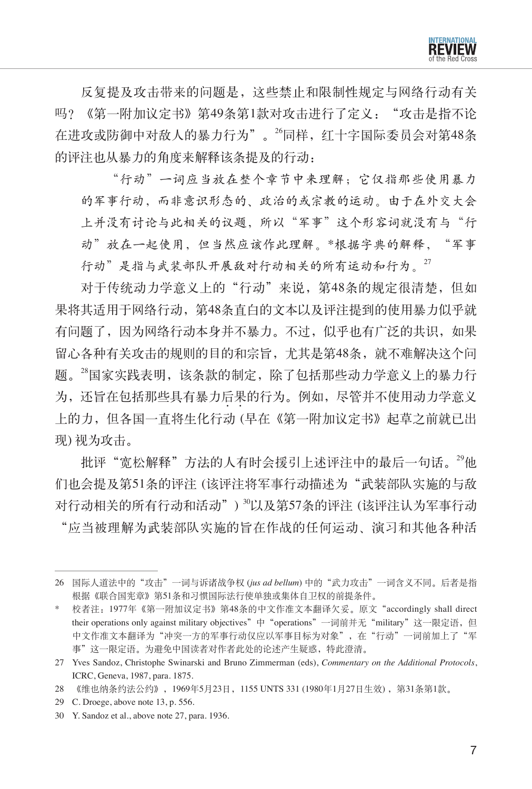

反复提及攻击带来的问题是,这些禁止和限制性规定与网络行动有关 吗?《第一附加议定书》第49条第1款对攻击进行了定义: "攻击是指不论 在进攻或防御中对敌人的暴力行为"。<sup>26</sup>同样,红十字国际委员会对第48条 的评注也从暴力的角度来解释该条提及的行动:

"行动"一词应当放在整个章节中来理解;它仅指那些使用暴力 的军事行动,而非意识形态的、政治的或宗教的运动。由于在外交大会 上并没有讨论与此相关的议题,所以"军事"这个形容词就没有与"行 动"放在一起使用,但当然应该作此理解。\*根据字典的解释,"军事 行动"是指与武装部队开展敌对行动相关的所有运动和行为。27

对于传统动力学意义上的"行动"来说, 第48条的规定很清楚, 但如 果将其适用于网络行动,第48条直白的文本以及评注提到的使用暴力似乎就 有问题了,因为网络行动本身并不暴力。不过,似乎也有广泛的共识,如果 留心各种有关攻击的规则的目的和宗旨,尤其是第48条,就不难解决这个问 题。<sup>28</sup>国家实践表明,该条款的制定,除了包括那些动力学意义上的暴力行 为,还旨在包括那些具有暴力后果的行为。例如,尽管并不使用动力学意义  $\cdot$   $\cdot$ 上的力,但各国一直将生化行动 (早在《第一附加议定书》起草之前就已出 现) 视为攻击。

批评"宽松解释"方法的人有时会援引上述评注中的最后一句话。29他 们也会提及第51条的评注 (该评注将军事行动描述为"武装部队实施的与敌 对行动相关的所有行动和活动") <sup>30</sup>以及第57条的评注 (该评注认为军事行动 "应当被理解为武装部队实施的旨在作战的任何运动、演习和其他各种活

<sup>26</sup> 国际人道法中的"攻击"一词与诉诸战争权 (*jus ad bellum*) 中的"武力攻击"一词含义不同。后者是指 根据《联合国宪章》第51条和习惯国际法行使单独或集体自卫权的前提条件。

<sup>\*</sup> 校者注:1977年《第一附加议定书》第48条的中文作准文本翻译欠妥。原文"accordingly shall direct their operations only against military objectives"中 "operations"一词前并无"military"这一限定语,但 中文作准文本翻译为"冲突一方的军事行动仅应以军事目标为对象",在"行动"一词前加上了"军 事"这一限定语。为避免中国读者对作者此处的论述产生疑惑,特此澄清。

<sup>27</sup> Yves Sandoz, Christophe Swinarski and Bruno Zimmerman (eds), *Commentary on the Additional Protocols*, ICRC, Geneva, 1987, para. 1875.

<sup>28</sup> 《维也纳条约法公约》,1969年5月23日,1155 UNTS 331 (1980年1月27日生效) ,第31条第1款。

<sup>29</sup> C. Droege, above note 13, p. 556.

<sup>30</sup> Y. Sandoz et al., above note 27, para. 1936.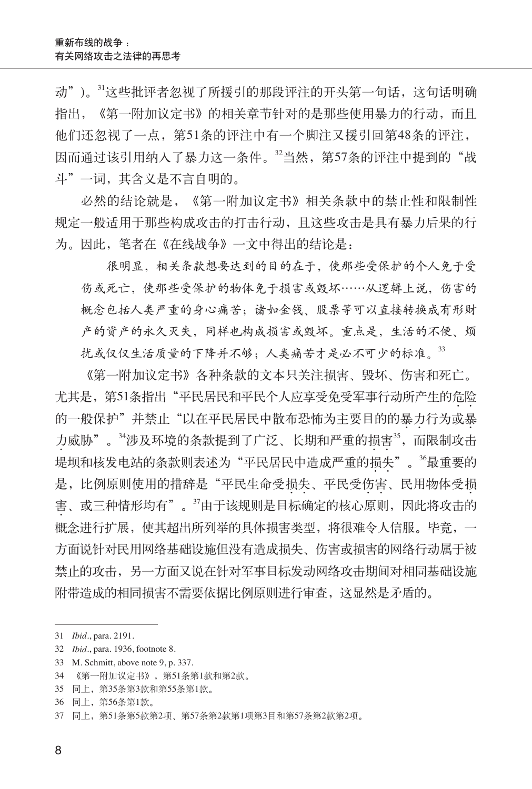动")。31这些批评者忽视了所援引的那段评注的开头第一句话,这句话明确 指出,《第一附加议定书》的相关章节针对的是那些使用暴力的行动,而且 他们还忽视了一点,第51条的评注中有一个脚注又援引回第48条的评注, 因而通过该引用纳入了暴力这一条件。"当然,第57条的评注中提到的"战 斗"一词,其含义是不言自明的。

必然的结论就是,《第一附加议定书》相关条款中的禁止性和限制性 规定一般适用于那些构成攻击的打击行动,且这些攻击是具有暴力后果的行 为。因此,笔者在《在线战争》一文中得出的结论是:

很明显,相关条款想要达到的目的在于,使那些受保护的个人免于受 伤或死亡,使那些受保护的物体免于损害或毁坏……从逻辑上说,伤害的 概念包括人类严重的身心痛苦;诸如金钱、股票等可以直接转换成有形财 产的资产的永久灭失,同样也构成损害或毁坏。重点是,生活的不便、烦 扰或仅仅生活质量的下降并不够;人类痛苦才是必不可少的标准。<sup>33</sup>

《第一附加议定书》各种条款的文本只关注损害、毁坏、伤害和死亡。 尤其是, 第51条指出"平民居民和平民个人应享受免受军事行动所产生的危险 的一般保护"并禁止"以在平民居民中散布恐怖为主要目的的暴力行为或暴 力威胁"。<sup>34</sup>涉及环境的条款提到了广泛、长期和严重的损害<sup>35</sup>,而限制攻击 堤坝和核发电站的条款则表述为"平民居民中造成严重的损失"。<sup>36</sup>最重要的  $\cdot$   $\cdot$ 是,比例原则使用的措辞是"平民生命受损失、平民受伤害、民用物体受损 害、或三种情形均有"。37由于该规则是目标确定的核心原则,因此将攻击的  $\bullet$ 概念进行扩展,使其超出所列举的具体损害类型,将很难令人信服。毕竟,一 方面说针对民用网络基础设施但没有造成损失、伤害或损害的网络行动属于被 禁止的攻击,另一方面又说在针对军事目标发动网络攻击期间对相同基础设施 附带造成的相同损害不需要依据比例原则进行审查,这显然是矛盾的。

<sup>31</sup> *Ibid*., para. 2191.

<sup>32</sup> *Ibid*., para. 1936, footnote 8.

<sup>33</sup> M. Schmitt, above note 9, p. 337.

<sup>34 《</sup>第一附加议定书》, 第51条第1款和第2款。

<sup>35</sup> 同上,第35条第3款和第55条第1款。

<sup>36</sup> 同上,第56条第1款。

<sup>37</sup> 同上,第51条第5款第2项、第57条第2款第1项第3目和第57条第2款第2项。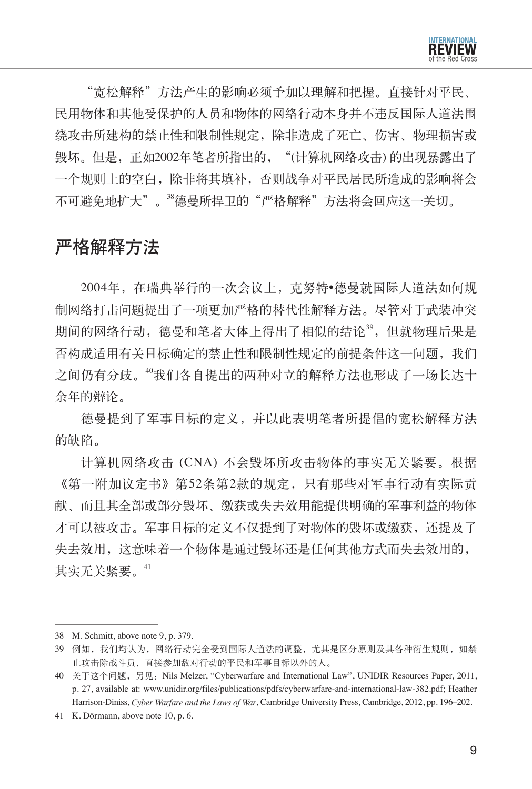"宽松解释"方法产生的影响必须予加以理解和把握。直接针对平民、 民用物体和其他受保护的人员和物体的网络行动本身并不违反国际人道法围 绕攻击所建构的禁止性和限制性规定,除非造成了死亡、伤害、物理损害或 毁坏。但是,正如2002年笔者所指出的,"(计算机网络攻击) 的出现暴露出了 一个规则上的空白,除非将其填补,否则战争对平民居民所造成的影响将会 不可避免地扩大"。<sup>38</sup>德曼所捍卫的"严格解释"方法将会回应这一关切。

## 严格解释方法

2004年,在瑞典举行的一次会议上,克努特•德曼就国际人道法如何规 制网络打击问题提出了一项更加严格的替代性解释方法。尽管对于武装冲突 期间的网络行动, 德曼和笔者大体上得出了相似的结论39, 但就物理后果是 否构成适用有关目标确定的禁止性和限制性规定的前提条件这一问题,我们 之间仍有分歧。"我们各自提出的两种对立的解释方法也形成了一场长达十 余年的辩论。

德曼提到了军事目标的定义,并以此表明笔者所提倡的宽松解释方法 的缺陷。

计算机网络攻击 (CNA) 不会毁坏所攻击物体的事实无关紧要。根据 《第一附加议定书》第52条第2款的规定,只有那些对军事行动有实际贡 献、而且其全部或部分毁坏、缴获或失去效用能提供明确的军事利益的物体 才可以被攻击。军事目标的定义不仅提到了对物体的毁坏或缴获,还提及了 失去效用,这意味着一个物体是通过毁坏还是任何其他方式而失去效用的, 其实无关紧要。<sup>41</sup>

<sup>38</sup> M. Schmitt, above note 9, p. 379.

<sup>39</sup> 例如,我们均认为,网络行动完全受到国际人道法的调整,尤其是区分原则及其各种衍生规则,如禁 止攻击除战斗员、直接参加敌对行动的平民和军事目标以外的人。

<sup>40</sup> 关于这个问题, 另见: Nils Melzer, "Cyberwarfare and International Law", UNIDIR Resources Paper, 2011, p. 27, available at: www.unidir.org/files/publications/pdfs/cyberwarfare-and-international-law-382.pdf; Heather Harrison-Diniss, *Cyber Warfare and the Laws of War*, Cambridge University Press, Cambridge, 2012, pp. 196–202.

<sup>41</sup> K. Dörmann, above note 10, p. 6.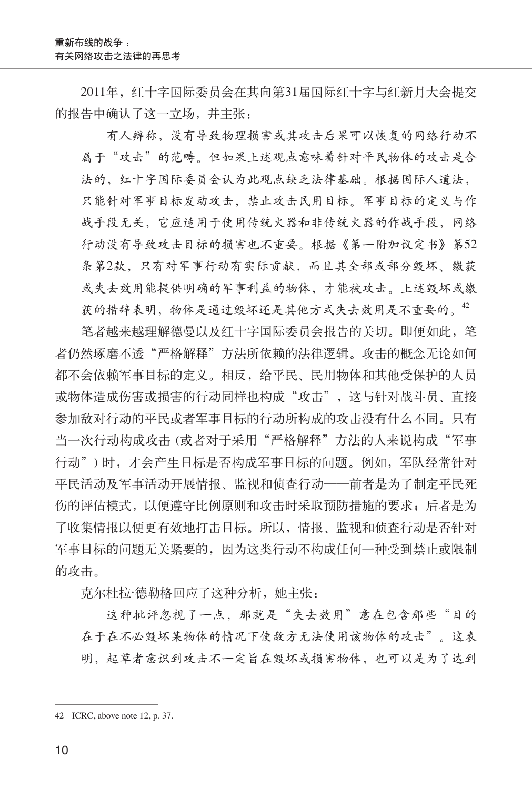2011年,红十字国际委员会在其向第31届国际红十字与红新月大会提交 的报告中确认了这一立场,并主张:

有人辩称,没有导致物理损害或其攻击后果可以恢复的网络行动不 属于"攻击"的范畴。但如果上述观点意味着针对平民物体的攻击是合 法的,红十字国际委员会认为此观点缺乏法律基础。根据国际人道法, 只能针对军事目标发动攻击,禁止攻击民用目标。军事目标的定义与作 战手段无关,它应适用于使用传统火器和非传统火器的作战手段,网络 行动没有导致攻击目标的损害也不重要。根据《第一附加议定书》第52 条第2款,只有对军事行动有实际贡献,而且其全部或部分毁坏、缴获 或失去效用能提供明确的军事利益的物体,才能被攻击。上述毁坏或缴 获的措辞表明,物体是通过毁坏还是其他方式失去效用是不重要的。42

笔者越来越理解德曼以及红十字国际委员会报告的关切。即便如此,笔 者仍然琢磨不透"严格解释"方法所依赖的法律逻辑。攻击的概念无论如何 都不会依赖军事目标的定义。相反,给平民、民用物体和其他受保护的人员 或物体造成伤害或损害的行动同样也构成"攻击",这与针对战斗员、直接 参加敌对行动的平民或者军事目标的行动所构成的攻击没有什么不同。只有 当一次行动构成攻击 (或者对于采用"严格解释"方法的人来说构成"军事 行动") 时,才会产生目标是否构成军事目标的问题。例如,军队经常针对 平民活动及军事活动开展情报、监视和侦查行动——前者是为了制定平民死 伤的评估模式,以便遵守比例原则和攻击时采取预防措施的要求;后者是为 了收集情报以便更有效地打击目标。所以,情报、监视和侦查行动是否针对 军事目标的问题无关紧要的,因为这类行动不构成任何一种受到禁止或限制 的攻击。

克尔杜拉·德勒格回应了这种分析,她主张:

这种批评忽视了一点,那就是"失去效用"意在包含那些"目的 在于在不必毁坏某物体的情况下使敌方无法使用该物体的攻击"。这表 明,起草者意识到攻击不一定旨在毁坏或损害物体,也可以是为了达到

<sup>42</sup> ICRC, above note 12, p. 37.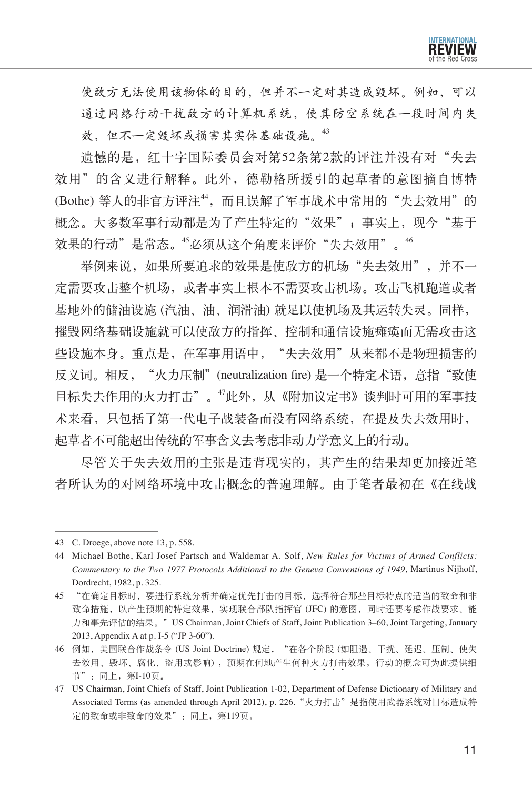

使敌方无法使用该物体的目的,但并不一定对其造成毁坏。例如,可以 通过网络行动干扰敌方的计算机系统,使其防空系统在一段时间内失 效,但不一定毁坏或损害其实体基础设施。<sup>43</sup>

溃憾的是,红十字国际委员会对第52条第2款的评注并没有对"失去 效用"的含义进行解释。此外,德勒格所援引的起草者的意图摘自博特 (Bothe) 等人的非官方评注<sup>44</sup>,而且误解了军事战术中常用的"失去效用"的 概念。大多数军事行动都是为了产生特定的"效果";事实上,现今"基于 效果的行动"是常态。"必须从这个角度来评价"失去效用"。"

举例来说,如果所要追求的效果是使敌方的机场"失去效用",并不一 定需要攻击整个机场,或者事实上根本不需要攻击机场。攻击飞机跑道或者 基地外的储油设施 (汽油、油、润滑油) 就足以使机场及其运转失灵。同样, 摧毁网络基础设施就可以使敌方的指挥、控制和通信设施瘫痪而无需攻击这 些设施本身。重点是,在军事用语中,"失去效用"从来都不是物理损害的 反义词。相反,"火力压制"(neutralization fire) 是一个特定术语,意指"致使 目标失去作用的火力打击"。<sup>47</sup>此外,从《附加议定书》谈判时可用的军事技 术来看,只包括了第一代电子战装备而没有网络系统,在提及失去效用时, 起草者不可能超出传统的军事含义去考虑非动力学意义上的行动。

尽管关于失去效用的主张是违背现实的,其产生的结果却更加接近笔 者所认为的对网络环境中攻击概念的普遍理解。由于笔者最初在《在线战

<sup>43</sup> C. Droege, above note 13, p. 558.

<sup>44</sup> Michael Bothe, Karl Josef Partsch and Waldemar A. Solf, *New Rules for Victims of Armed Conflicts: Commentary to the Two 1977 Protocols Additional to the Geneva Conventions of 1949*, Martinus Nijhoff, Dordrecht, 1982, p. 325.

<sup>45</sup> "在确定目标时,要进行系统分析并确定优先打击的目标,选择符合那些目标特点的适当的致命和非 致命措施,以产生预期的特定效果,实现联合部队指挥官 (JFC) 的意图,同时还要考虑作战要求、能 力和事先评估的结果。"US Chairman, Joint Chiefs of Staff, Joint Publication 3–60, Joint Targeting, January 2013, Appendix A at p. I-5 ("JP 3-60").

<sup>46</sup> 例如,美国联合作战条令 (US Joint Doctrine) 规定, "在各个阶段 (如阻遏、干扰、延迟、压制、使失 去效用、毁坏、腐化、盗用或影响),预期在何地产生何种火力打击效果,行动的概念可为此提供细 节":同上,第I-10页。

<sup>47</sup> US Chairman, Joint Chiefs of Staff, Joint Publication 1-02, Department of Defense Dictionary of Military and Associated Terms (as amended through April 2012), p. 226."火力打击"是指使用武器系统对目标造成特 定的致命或非致命的效果":同上,第119页。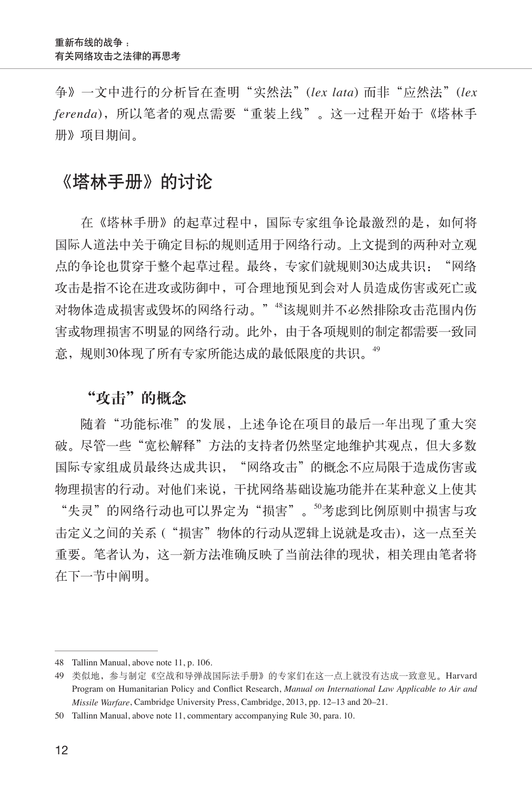争》一文中进行的分析旨在查明"实然法"(*lex lata*) 而非"应然法"(*lex ferenda*),所以笔者的观点需要"重装上线"。这一过程开始于《塔林手 册》项目期间。

## 《塔林手册》的讨论

在《塔林手册》的起草过程中,国际专家组争论最激烈的是,如何将 国际人道法中关于确定目标的规则适用于网络行动。上文提到的两种对立观 点的争论也贯穿于整个起草过程。最终,专家们就规则30达成共识:"网络 攻击是指不论在进攻或防御中,可合理地预见到会对人员造成伤害或死亡或 对物体造成损害或毁坏的网络行动。""该规则并不必然排除攻击范围内伤 害或物理损害不明显的网络行动。此外,由于各项规则的制定都需要一致同 意,规则30体现了所有专家所能达成的最低限度的共识。<sup>49</sup>

#### "攻击"的概念

随着"功能标准"的发展,上述争论在项目的最后一年出现了重大突 破。尽管一些"宽松解释"方法的支持者仍然坚定地维护其观点,但大多数 国际专家组成员最终达成共识, "网络攻击"的概念不应局限于造成伤害或 物理损害的行动。对他们来说,干扰网络基础设施功能并在某种意义上使其 "失灵"的网络行动也可以界定为"损害"。<sup>50</sup>考虑到比例原则中损害与攻 击定义之间的关系 ("损害"物体的行动从逻辑上说就是攻击),这一点至关 重要。笔者认为,这一新方法准确反映了当前法律的现状,相关理由笔者将 在下一节中阐明。

<sup>48</sup> Tallinn Manual, above note 11, p. 106.

<sup>49</sup> 类似地,参与制定《空战和导弹战国际法手册》的专家们在这一点上就没有达成一致意见。Harvard Program on Humanitarian Policy and Conflict Research, *Manual on International Law Applicable to Air and Missile Warfare*, Cambridge University Press, Cambridge, 2013, pp. 12–13 and 20–21.

<sup>50</sup> Tallinn Manual, above note 11, commentary accompanying Rule 30, para. 10.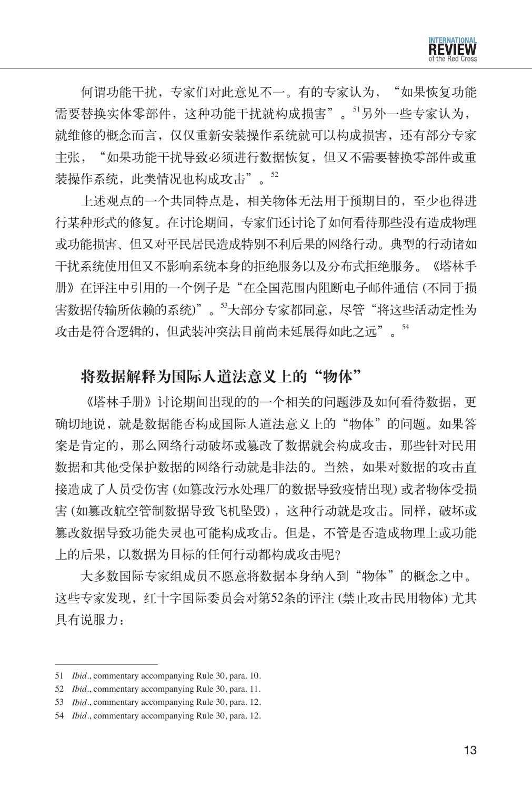

何谓功能干扰,专家们对此意见不一。有的专家认为, "如果恢复功能 需要替换实体零部件,这种功能干扰就构成损害"。<sup>51</sup>另外一些专家认为, 就维修的概念而言,仅仅重新安装操作系统就可以构成损害,还有部分专家 主张, "如果功能干扰导致必须进行数据恢复,但又不需要替换零部件或重 装操作系统,此类情况也构成攻击"。52

上述观点的一个共同特点是,相关物体无法用于预期目的,至少也得进 行某种形式的修复。在讨论期间,专家们还讨论了如何看待那些没有造成物理 或功能损害、但又对平民居民造成特别不利后果的网络行动。典型的行动诸如 干扰系统使用但又不影响系统本身的拒绝服务以及分布式拒绝服务。《塔林手 册》在评注中引用的一个例子是"在全国范围内阻断电子邮件通信 (不同于损 害数据传输所依赖的系统)"。<sup>53</sup>大部分专家都同意,尽管"将这些活动定性为 攻击是符合逻辑的,但武装冲突法目前尚未延展得如此之远"。<sup>54</sup>

#### 将数据解释为国际人道法意义上的"物体"

《塔林手册》讨论期间出现的的一个相关的问题涉及如何看待数据, 更 确切地说, 就是数据能否构成国际人道法意义上的"物体"的问题。如果答 案是肯定的,那么网络行动破坏或篡改了数据就会构成攻击,那些针对民用 数据和其他受保护数据的网络行动就是非法的。当然,如果对数据的攻击直 接造成了人员受伤害 (如篡改污水处理厂的数据导致疫情出现) 或者物体受损 害 (如篡改航空管制数据导致飞机坠毁), 这种行动就是攻击。同样, 破坏或 篡改数据导致功能失灵也可能构成攻击。但是,不管是否造成物理上或功能 上的后果,以数据为目标的任何行动都构成攻击呢?

大多数国际专家组成员不愿意将数据本身纳入到"物体"的概念之中。 这些专家发现,红十字国际委员会对第52条的评注 (禁止攻击民用物体) 尤其 具有说服力:

<sup>51</sup> *Ibid*., commentary accompanying Rule 30, para. 10.

<sup>52</sup> *Ibid*., commentary accompanying Rule 30, para. 11.

<sup>53</sup> *Ibid*., commentary accompanying Rule 30, para. 12.

<sup>54</sup> *Ibid*., commentary accompanying Rule 30, para. 12.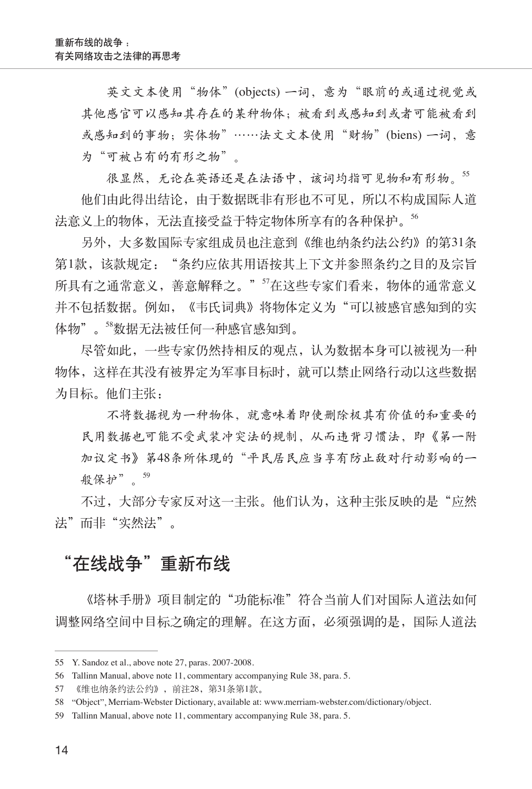英文文本使用"物体"(objects) 一词,意为"眼前的或通过视觉或 其他感官可以感知其存在的某种物体;被看到或感知到或者可能被看到 或感知到的事物;实体物"……法文文本使用"财物"(biens) 一词,意 为"可被占有的有形之物"。

很显然,无论在英语还是在法语中,该词均指可见物和有形物。55 他们由此得出结论,由于数据既非有形也不可见,所以不构成国际人道 法意义上的物体,无法直接受益于特定物体所享有的各种保护。<sup>56</sup>

另外,大多数国际专家组成员也注意到《维也纳条约法公约》的第31条 第1款,该款规定: "条约应依其用语按其上下文并参照条约之目的及宗旨 所具有之通常意义,善意解释之。" 5在这些专家们看来, 物体的通常意义 并不包括数据。例如, 《韦氏词典》将物体定义为"可以被感官感知到的实 体物"。"数据无法被任何一种感官感知到。

尽管如此,一些专家仍然持相反的观点,认为数据本身可以被视为一种 物体,这样在其没有被界定为军事目标时,就可以禁止网络行动以这些数据 为目标。他们主张:

不将数据视为一种物体,就意味着即使删除极其有价值的和重要的 民用数据也可能不受武装冲突法的规制,从而违背习惯法,即《第一附 加议定书》第48条所体现的"平民居民应当享有防止敌对行动影响的一 般保护"。<sup>59</sup>

不过,大部分专家反对这一主张。他们认为,这种主张反映的是"应然 法"而非"实然法"。

#### "在线战争"重新布线

《塔林手册》项目制定的"功能标准"符合当前人们对国际人道法如何 调整网络空间中目标之确定的理解。在这方面,必须强调的是,国际人道法

<sup>55</sup> Y. Sandoz et al., above note 27, paras. 2007-2008.

<sup>56</sup> Tallinn Manual, above note 11, commentary accompanying Rule 38, para. 5.

<sup>57</sup> 《维也纳条约法公约》,前注28,第31条第1款。

<sup>58 &</sup>quot;Object", Merriam-Webster Dictionary, available at: www.merriam-webster.com/dictionary/object.

<sup>59</sup> Tallinn Manual, above note 11, commentary accompanying Rule 38, para. 5.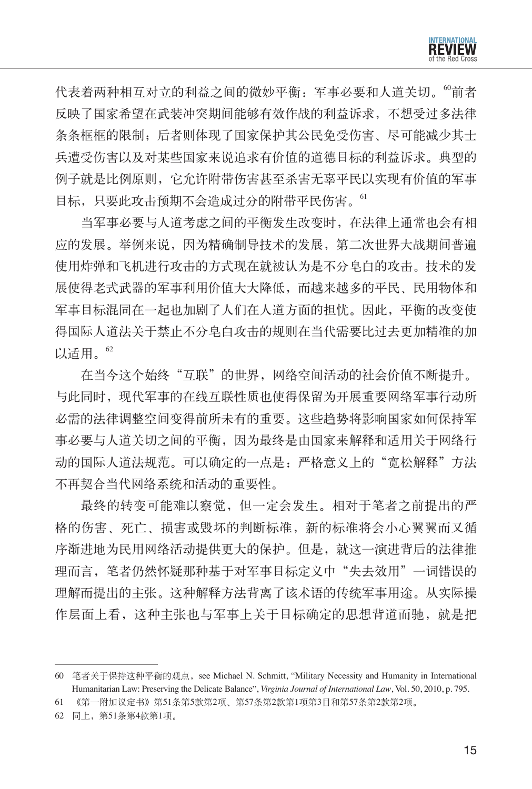

代表着两种相互对立的利益之间的微妙平衡:军事必要和人道关切。"前者 反映了国家希望在武装冲突期间能够有效作战的利益诉求,不想受过多法律 条条框框的限制;后者则体现了国家保护其公民免受伤害、尽可能减少其士 兵遭受伤害以及对某些国家来说追求有价值的道德目标的利益诉求。典型的 例子就是比例原则,它允许附带伤害甚至杀害无辜平民以实现有价值的军事 目标,只要此攻击预期不会造成过分的附带平民伤害。<sup>61</sup>

当军事必要与人道考虑之间的平衡发生改变时,在法律上通常也会有相 应的发展。举例来说,因为精确制导技术的发展,第二次世界大战期间普遍 使用炸弹和飞机进行攻击的方式现在就被认为是不分皂白的攻击。技术的发 展使得老式武器的军事利用价值大大降低,而越来越多的平民、民用物体和 军事目标混同在一起也加剧了人们在人道方面的担忧。因此,平衡的改变使 得国际人道法关于禁止不分皂白攻击的规则在当代需要比过去更加精准的加 以适用。<sup>62</sup>

在当今这个始终"互联"的世界,网络空间活动的社会价值不断提升。 与此同时,现代军事的在线互联性质也使得保留为开展重要网络军事行动所 必需的法律调整空间变得前所未有的重要。这些趋势将影响国家如何保持军 事必要与人道关切之间的平衡,因为最终是由国家来解释和适用关于网络行 动的国际人道法规范。可以确定的一点是:严格意义上的"宽松解释"方法 不再契合当代网络系统和活动的重要性。

最终的转变可能难以察觉,但一定会发生。相对于笔者之前提出的严 格的伤害、死亡、损害或毁坏的判断标准,新的标准将会小心翼翼而又循 序渐进地为民用网络活动提供更大的保护。但是,就这一演进背后的法律推 理而言,笔者仍然怀疑那种基于对军事目标定义中"失去效用"一词错误的 理解而提出的主张。这种解释方法背离了该术语的传统军事用途。从实际操 作层面上看,这种主张也与军事上关于目标确定的思想背道而驰,就是把

<sup>60</sup> 笔者关于保持这种平衡的观点, see Michael N. Schmitt, "Military Necessity and Humanity in International Humanitarian Law: Preserving the Delicate Balance", *Virginia Journal of International Law*, Vol. 50, 2010, p. 795.

<sup>61</sup> 《第一附加议定书》第51条第5款第2项、第57条第2款第1项第3目和第57条第2款第2项。

<sup>62</sup> 同上,第51条第4款第1项。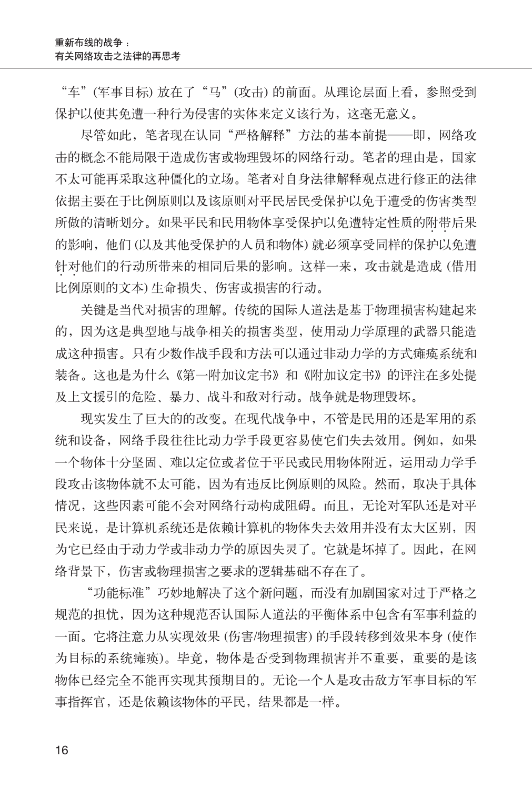"车"(军事目标) 放在了"马"(攻击) 的前面。从理论层面上看,参照受到 保护以使其免遭一种行为侵害的实体来定义该行为,这毫无意义。

尽管如此,笔者现在认同"严格解释"方法的基本前提——即,网络攻 击的概念不能局限于造成伤害或物理毁坏的网络行动。笔者的理由是,国家 不太可能再采取这种僵化的立场。笔者对自身法律解释观点进行修正的法律 依据主要在于比例原则以及该原则对平民居民受保护以免于遭受的伤害类型 所做的清晰划分。如果平民和民用物体享受保护以免遭特定性质的附带后果  $\cdot$   $\cdot$ 的影响,他们 (以及其他受保护的人员和物体) 就必须享受同样的保护以免遭 针对他们的行动所带来的相同后果的影响。这样一来,攻击就是造成 (借用  $\cdot$   $\cdot$ 比例原则的文本) 生命损失、伤害或损害的行动。

关键是当代对损害的理解。传统的国际人道法是基于物理损害构建起来 的,因为这是典型地与战争相关的损害类型,使用动力学原理的武器只能造 成这种损害。只有少数作战手段和方法可以通过非动力学的方式瘫痪系统和 装备。这也是为什么《第一附加议定书》和《附加议定书》的评注在多处提 及上文援引的危险、暴力、战斗和敌对行动。战争就是物理毁坏。

现实发生了巨大的的改变。在现代战争中,不管是民用的还是军用的系 统和设备, 网络手段往往比动力学手段更容易使它们失去效用。例如, 如果 一个物体十分坚固、难以定位或者位于平民或民用物体附近,运用动力学手 段攻击该物体就不太可能,因为有违反比例原则的风险。然而,取决于具体 情况,这些因素可能不会对网络行动构成阻碍。而且,无论对军队还是对平 民来说,是计算机系统还是依赖计算机的物体失去效用并没有太大区别,因 为它已经由于动力学或非动力学的原因失灵了。它就是坏掉了。因此,在网 络背景下,伤害或物理损害之要求的逻辑基础不存在了。

"功能标准"巧妙地解决了这个新问题,而没有加剧国家对过于严格之 规范的担忧,因为这种规范否认国际人道法的平衡体系中包含有军事利益的 一面。它将注意力从实现效果 (伤害/物理损害) 的手段转移到效果本身 (使作 为目标的系统瘫痪)。毕竟,物体是否受到物理损害并不重要,重要的是该 物体已经完全不能再实现其预期目的。无论一个人是攻击敌方军事目标的军 事指挥官,还是依赖该物体的平民,结果都是一样。

16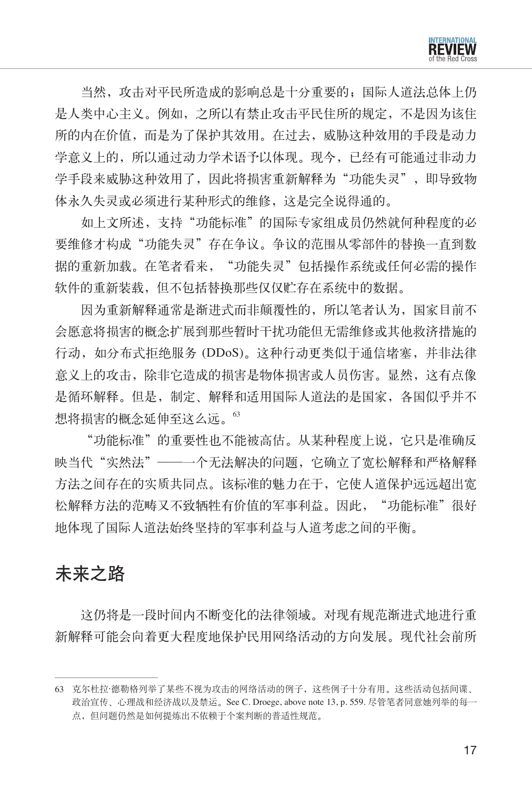

当然,攻击对平民所造成的影响总是十分重要的;国际人道法总体上仍 是人类中心主义。例如,之所以有禁止攻击平民住所的规定,不是因为该住 所的内在价值,而是为了保护其效用。在过去,威胁这种效用的手段是动力 学意义上的,所以通过动力学术语予以体现。现今,已经有可能通过非动力 学手段来威胁这种效用了,因此将损害重新解释为"功能失灵", 即导致物 体永久失灵或必须进行某种形式的维修,这是完全说得通的。

如上文所述,支持"功能标准"的国际专家组成员仍然就何种程度的必 要维修才构成"功能失灵"存在争议。争议的范围从零部件的替换一直到数 据的重新加载。在笔者看来,"功能失灵"包括操作系统或任何必需的操作 软件的重新装载,但不包括替换那些仅仅贮存在系统中的数据。

因为重新解释通常是渐进式而非颠覆性的,所以笔者认为,国家目前不 会愿意将损害的概念扩展到那些暂时干扰功能但无需维修或其他救济措施的 行动,如分布式拒绝服务 (DDoS)。这种行动更类似于通信堵塞,并非法律 意义上的攻击,除非它造成的损害是物体损害或人员伤害。显然,这有点像 是循环解释。但是,制定、解释和适用国际人道法的是国家,各国似乎并不 想将损害的概念延伸至这么远。<sup>63</sup>

"功能标准"的重要性也不能被高估。从某种程度上说,它只是准确反 映当代"实然法"——一个无法解决的问题,它确立了宽松解释和严格解释 方法之间存在的实质共同点。该标准的魅力在于,它使人道保护远远超出宽 松解释方法的范畴又不致牺牲有价值的军事利益。因此, "功能标准"很好 地体现了国际人道法始终坚持的军事利益与人道考虑之间的平衡。

## 未来之路

这仍将是一段时间内不断变化的法律领域。对现有规范渐进式地进行重 新解释可能会向着更大程度地保护民用网络活动的方向发展。现代社会前所

<sup>63</sup> 克尔杜拉·德勒格列举了某些不视为攻击的网络活动的例子,这些例子十分有用。这些活动包括间谍、 政治宣传、心理战和经济战以及禁运。See C. Droege, above note 13, p. 559. 尽管笔者同意她列举的每一 点,但问题仍然是如何提炼出不依赖于个案判断的普适性规范。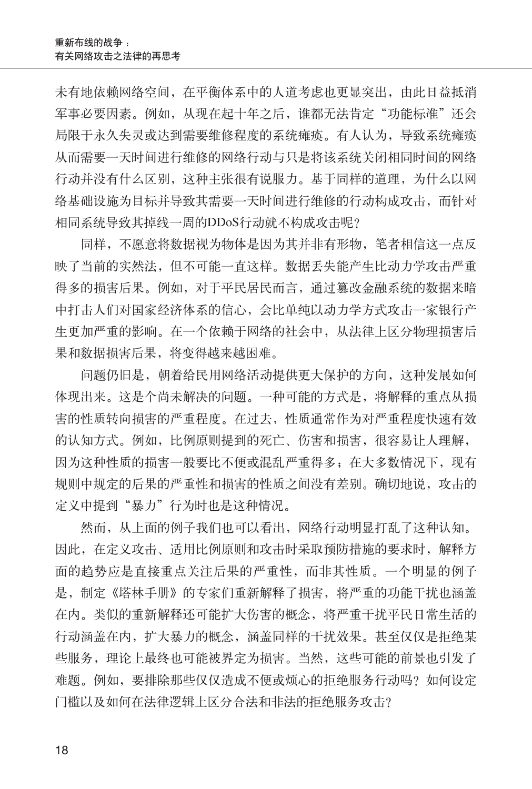未有地依赖网络空间,在平衡体系中的人道考虑也更显突出,由此日益抵消 军事必要因素。例如, 从现在起十年之后, 谁都无法肯定"功能标准"还会 局限于永久失灵或达到需要维修程度的系统瘫痪。有人认为,导致系统瘫痪 从而需要一天时间进行维修的网络行动与只是将该系统关闭相同时间的网络 行动并没有什么区别,这种主张很有说服力。基于同样的道理,为什么以网 络基础设施为目标并导致其需要一天时间进行维修的行动构成攻击,而针对 相同系统导致其掉线一周的DDoS行动就不构成攻击呢?

同样,不愿意将数据视为物体是因为其并非有形物,笔者相信这一点反 映了当前的实然法,但不可能一直这样。数据丢失能产生比动力学攻击严重 得多的损害后果。例如,对于平民居民而言,通过篡改金融系统的数据来暗 中打击人们对国家经济体系的信心,会比单纯以动力学方式攻击一家银行产 生更加严重的影响。在一个依赖于网络的社会中,从法律上区分物理损害后 果和数据损害后果,将变得越来越困难。

问题仍旧是,朝着给民用网络活动提供更大保护的方向,这种发展如何 体现出来。这是个尚未解决的问题。一种可能的方式是,将解释的重点从损 害的性质转向损害的严重程度。在过去,性质通常作为对严重程度快速有效 的认知方式。例如,比例原则提到的死亡、伤害和损害,很容易让人理解, 因为这种性质的损害一般要比不便或混乱严重得多;在大多数情况下,现有 规则中规定的后果的严重性和损害的性质之间没有差别。确切地说,攻击的 定义中提到"暴力"行为时也是这种情况。

然而,从上面的例子我们也可以看出,网络行动明显打乱了这种认知。 因此,在定义攻击、适用比例原则和攻击时采取预防措施的要求时,解释方 面的趋势应是直接重点关注后果的严重性,而非其性质。一个明显的例子 是,制定《塔林手册》的专家们重新解释了损害,将严重的功能干扰也涵盖 在内。类似的重新解释还可能扩大伤害的概念,将严重干扰平民日常生活的 行动涵盖在内,扩大暴力的概念,涵盖同样的干扰效果。甚至仅仅是拒绝某 些服务,理论上最终也可能被界定为损害。当然,这些可能的前景也引发了 难题。例如,要排除那些仅仅造成不便或烦心的拒绝服务行动吗?如何设定 门槛以及如何在法律逻辑上区分合法和非法的拒绝服务攻击?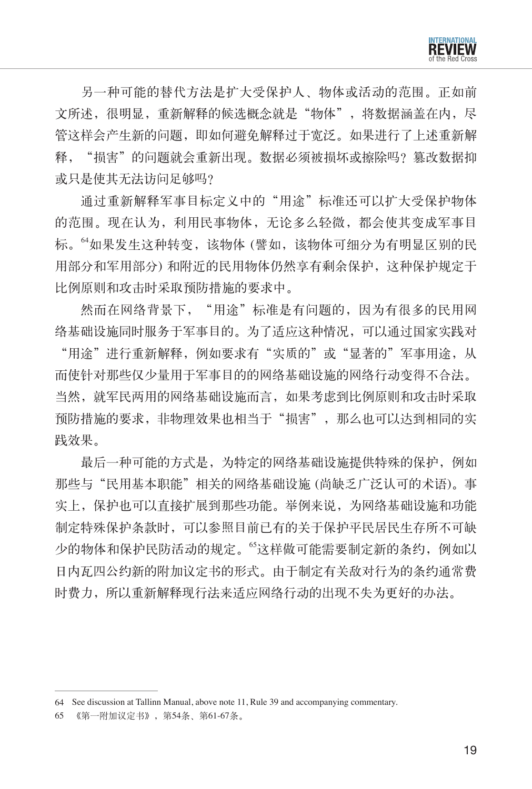

另一种可能的替代方法是扩大受保护人、物体或活动的范围。正如前 文所述,很明显,重新解释的候选概念就是"物体",将数据涵盖在内,尽 管这样会产生新的问题,即如何避免解释过于宽泛。如果进行了上述重新解 释, "损害"的问题就会重新出现。数据必须被损坏或擦除吗? 篡改数据抑 或只是使其无法访问足够吗?

通过重新解释军事目标定义中的"用途"标准还可以扩大受保护物体 的范围。现在认为,利用民事物体,无论多么轻微,都会使其变成军事目 标。"如果发生这种转变,该物体(譬如,该物体可细分为有明显区别的民 用部分和军用部分) 和附近的民用物体仍然享有剩余保护,这种保护规定于 比例原则和攻击时采取预防措施的要求中。

然而在网络背景下, "用途"标准是有问题的,因为有很多的民用网 络基础设施同时服务于军事目的。为了适应这种情况,可以通过国家实践对

"用途"进行重新解释,例如要求有"实质的"或"显著的"军事用途,从 而使针对那些仅少量用于军事目的的网络基础设施的网络行动变得不合法。 当然,就军民两用的网络基础设施而言,如果考虑到比例原则和攻击时采取 预防措施的要求,非物理效果也相当于"损害",那么也可以达到相同的实 践效果。

最后一种可能的方式是,为特定的网络基础设施提供特殊的保护,例如 那些与"民用基本职能"相关的网络基础设施 (尚缺乏广泛认可的术语)。事 实上,保护也可以直接扩展到那些功能。举例来说,为网络基础设施和功能 制定特殊保护条款时,可以参照目前已有的关于保护平民居民生存所不可缺 少的物体和保护民防活动的规定。"这样做可能需要制定新的条约,例如以 日内瓦四公约新的附加议定书的形式。由于制定有关敌对行为的条约通常费 时费力,所以重新解释现行法来适应网络行动的出现不失为更好的办法。

<sup>64</sup> See discussion at Tallinn Manual, above note 11, Rule 39 and accompanying commentary.

<sup>65</sup> 《第一附加议定书》,第54条、第61-67条。